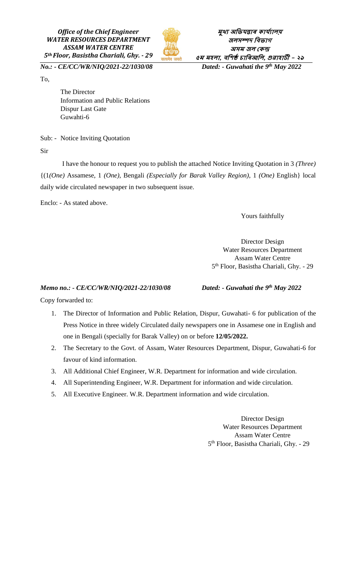*Office of the Chief Engineer WATER RESOURCES DEPARTMENT ASSAM WATER CENTRE 5th Floor, Basistha Chariali, Ghy. - 29*



**মুখ্য অভিযন্তাৰ কায্যালয় জলসম্পদ ভিিাগ অসম জল ককন্দ্ৰ ৫ম মহলা, িভিষ্ঠ চাভৰআভল, গুৱাহাটী - <sup>২৯</sup> Dated:** - Guwahati the 9<sup>th</sup> May 2022

*No.:* - *CE/CC/WR/NIQ/2021-22/1030/08* 

To,

The Director Information and Public Relations Dispur Last Gate Guwahti-6

Sub: - Notice Inviting Quotation

Sir

 I have the honour to request you to publish the attached Notice Inviting Quotation in 3 *(Three)* {(1*(One)* Assamese, 1 *(One)*, Bengali *(Especially for Barak Valley Region)*, 1 *(One)* English} local daily wide circulated newspaper in two subsequent issue.

Enclo: - As stated above.

Yours faithfully

Director Design Water Resources Department Assam Water Centre 5 th Floor, Basistha Chariali, Ghy. - 29

## *Memo no.:* - *CE/CC/WR/NIQ/2021-22/1030/08*

*Dated:* - Guwahati the 9<sup>th</sup> May 2022

Copy forwarded to:

- 1. The Director of Information and Public Relation, Dispur, Guwahati- 6 for publication of the Press Notice in three widely Circulated daily newspapers one in Assamese one in English and one in Bengali (specially for Barak Valley) on or before **12/05/2022.**
- 2. The Secretary to the Govt. of Assam, Water Resources Department, Dispur, Guwahati-6 for favour of kind information.
- 3. All Additional Chief Engineer, W.R. Department for information and wide circulation.
- 4. All Superintending Engineer, W.R. Department for information and wide circulation.
- 5. All Executive Engineer. W.R. Department information and wide circulation.

Director Design Water Resources Department Assam Water Centre 5 th Floor, Basistha Chariali, Ghy. - 29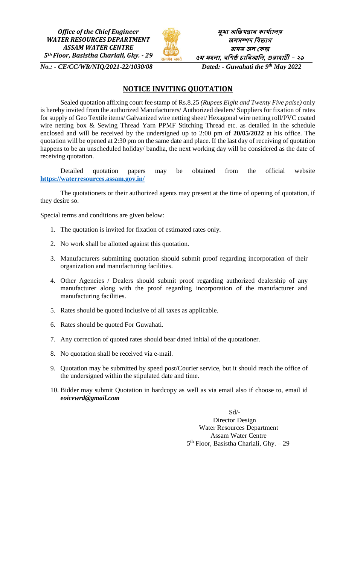*Office of the Chief Engineer WATER RESOURCES DEPARTMENT ASSAM WATER CENTRE 5th Floor, Basistha Chariali, Ghy. - 29*



**মুখ্য অভিযন্তাৰ কায্যালয় জলসম্পদ ভিিাগ অসম জল ককন্দ্ৰ ৫ম মহলা, িভিষ্ঠ চাভৰআভল, গুৱাহাটী - <sup>২৯</sup>** *Dated:* - Guwahati the 9<sup>th</sup> May 2022

*No.:* - *CE/CC/WR/NIO/2021-22/1030/08* 

## **NOTICE INVITING QUOTATION**

Sealed quotation affixing court fee stamp of Rs.8.25 *(Rupees Eight and Twenty Five paise)* only is hereby invited from the authorized Manufacturers/ Authorized dealers/ Suppliers for fixation of rates for supply of Geo Textile items/ Galvanized wire netting sheet/ Hexagonal wire netting roll/PVC coated wire netting box & Sewing Thread Yarn PPMF Stitching Thread etc. as detailed in the schedule enclosed and will be received by the undersigned up to 2:00 pm of **20/05/2022** at his office. The quotation will be opened at 2:30 pm on the same date and place. If the last day of receiving of quotation happens to be an unscheduled holiday/ bandha, the next working day will be considered as the date of receiving quotation.

Detailed quotation papers may be obtained from the official website **<https://waterresources.assam.gov.in/>**

The quotationers or their authorized agents may present at the time of opening of quotation, if they desire so.

Special terms and conditions are given below:

- 1. The quotation is invited for fixation of estimated rates only.
- 2. No work shall be allotted against this quotation.
- 3. Manufacturers submitting quotation should submit proof regarding incorporation of their organization and manufacturing facilities.
- 4. Other Agencies / Dealers should submit proof regarding authorized dealership of any manufacturer along with the proof regarding incorporation of the manufacturer and manufacturing facilities.
- 5. Rates should be quoted inclusive of all taxes as applicable.
- 6. Rates should be quoted For Guwahati.
- 7. Any correction of quoted rates should bear dated initial of the quotationer.
- 8. No quotation shall be received via e-mail.
- 9. Quotation may be submitted by speed post/Courier service, but it should reach the office of the undersigned within the stipulated date and time.
- 10. Bidder may submit Quotation in hardcopy as well as via email also if choose to, email id *eoicewrd@gmail.com*

Sd/- Director Design Water Resources Department Assam Water Centre 5 th Floor, Basistha Chariali, Ghy. – 29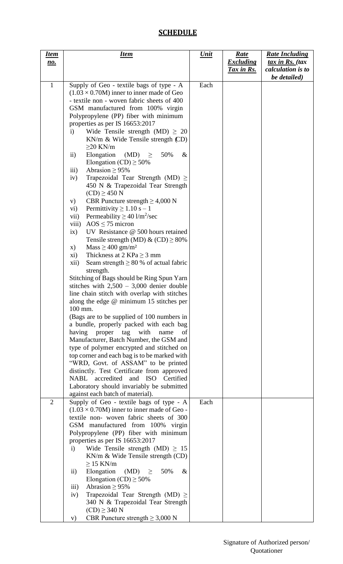## **SCHEDULE**

| <u>Item</u>    | <b>Item</b>                                                                                   | <u>Unit</u> | <u>Rate</u>                           | <b>Rate Including</b>                          |
|----------------|-----------------------------------------------------------------------------------------------|-------------|---------------------------------------|------------------------------------------------|
| <u>no.</u>     |                                                                                               |             | <b>Excluding</b><br><u>Tax in Rs.</u> | $\frac{tax}{in}$ Rs. (tax<br>calculation is to |
|                |                                                                                               |             |                                       | be detailed)                                   |
| $\mathbf{1}$   | Supply of Geo - textile bags of type - A                                                      | Each        |                                       |                                                |
|                | $(1.03 \times 0.70M)$ inner to inner made of Geo                                              |             |                                       |                                                |
|                | - textile non - woven fabric sheets of 400                                                    |             |                                       |                                                |
|                | GSM manufactured from 100% virgin                                                             |             |                                       |                                                |
|                | Polypropylene (PP) fiber with minimum                                                         |             |                                       |                                                |
|                | properties as per IS 16653:2017<br>$\mathbf{i}$                                               |             |                                       |                                                |
|                | Wide Tensile strength (MD) $\geq 20$<br>$KN/m \&$ Wide Tensile strength $CD$ )                |             |                                       |                                                |
|                | $\geq$ 20 KN/m                                                                                |             |                                       |                                                |
|                | Elongation<br>$(MD) \geq$<br>50%<br>$\&$<br>$\rm ii)$                                         |             |                                       |                                                |
|                | Elongation (CD) $\geq$ 50%                                                                    |             |                                       |                                                |
|                | iii)<br>Abrasion $\geq$ 95%                                                                   |             |                                       |                                                |
|                | Trapezoidal Tear Strength (MD) $\geq$<br>iv)                                                  |             |                                       |                                                |
|                | 450 N & Trapezoidal Tear Strength                                                             |             |                                       |                                                |
|                | $(CD) \geq 450 N$                                                                             |             |                                       |                                                |
|                | CBR Puncture strength $\geq 4,000$ N<br>V)                                                    |             |                                       |                                                |
|                | Permittivity $\geq 1.10$ s - 1<br>vi)                                                         |             |                                       |                                                |
|                | Permeability $\geq 40 \frac{\text{1}}{\text{m}^2/\text{sec}}$<br>vii)                         |             |                                       |                                                |
|                | viii)<br>AOS $\leq$ 75 micron                                                                 |             |                                       |                                                |
|                | UV Resistance $@$ 500 hours retained<br>ix)<br>Tensile strength (MD) & (CD) $\geq$ 80%        |             |                                       |                                                |
|                | $Mass \geq 400$ gm/m <sup>2</sup><br>X)                                                       |             |                                       |                                                |
|                | Thickness at $2$ KPa $\geq$ 3 mm<br>xi)                                                       |             |                                       |                                                |
|                | Seam strength $\geq 80$ % of actual fabric<br>xii)                                            |             |                                       |                                                |
|                | strength.                                                                                     |             |                                       |                                                |
|                | Stitching of Bags should be Ring Spun Yarn                                                    |             |                                       |                                                |
|                | stitches with $2,500 - 3,000$ denier double                                                   |             |                                       |                                                |
|                | line chain stitch with overlap with stitches                                                  |             |                                       |                                                |
|                | along the edge @ minimum 15 stitches per                                                      |             |                                       |                                                |
|                | 100 mm.                                                                                       |             |                                       |                                                |
|                | (Bags are to be supplied of 100 numbers in                                                    |             |                                       |                                                |
|                | a bundle, properly packed with each bag<br>having proper tag with<br>name<br>οf               |             |                                       |                                                |
|                | Manufacturer, Batch Number, the GSM and                                                       |             |                                       |                                                |
|                | type of polymer encrypted and stitched on                                                     |             |                                       |                                                |
|                | top corner and each bag is to be marked with                                                  |             |                                       |                                                |
|                | "WRD, Govt. of ASSAM" to be printed                                                           |             |                                       |                                                |
|                | distinctly. Test Certificate from approved                                                    |             |                                       |                                                |
|                | NABL accredited and ISO Certified                                                             |             |                                       |                                                |
|                | Laboratory should invariably be submitted                                                     |             |                                       |                                                |
| $\overline{2}$ | against each batch of material).                                                              | Each        |                                       |                                                |
|                | Supply of Geo - textile bags of type - A<br>$(1.03 \times 0.70M)$ inner to inner made of Geo- |             |                                       |                                                |
|                | textile non- woven fabric sheets of 300                                                       |             |                                       |                                                |
|                | GSM manufactured from 100% virgin                                                             |             |                                       |                                                |
|                | Polypropylene (PP) fiber with minimum                                                         |             |                                       |                                                |
|                | properties as per IS 16653:2017                                                               |             |                                       |                                                |
|                | Wide Tensile strength (MD) $\geq 15$<br>$\mathbf{i}$                                          |             |                                       |                                                |
|                | $KN/m \&$ Wide Tensile strength (CD)                                                          |             |                                       |                                                |
|                | $\geq$ 15 KN/m                                                                                |             |                                       |                                                |
|                | $\ddot{\text{1}}$<br>Elongation<br>$(MD) \geq$<br>50%<br>$\&$                                 |             |                                       |                                                |
|                | Elongation (CD) $\geq$ 50%<br>Abrasion $\geq$ 95%<br>$\overline{\text{iii}}$                  |             |                                       |                                                |
|                | Trapezoidal Tear Strength (MD) $\geq$<br>iv)                                                  |             |                                       |                                                |
|                | 340 N & Trapezoidal Tear Strength                                                             |             |                                       |                                                |
|                | $(CD) \geq 340 N$                                                                             |             |                                       |                                                |
|                | CBR Puncture strength $\geq$ 3,000 N<br>V)                                                    |             |                                       |                                                |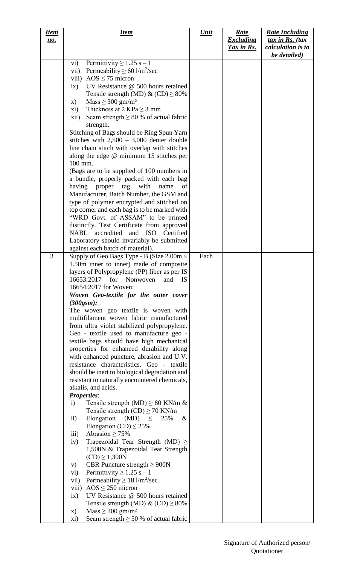| <b>Item</b><br><u>no.</u> | <u>Item</u>                                                                                                                                                                                                                                                                                                                                                                                                                                                                                                                                                                                                                                                                                                                                                                                                                                                                                                                                                                                                                                                                                                                                                                                                                                                                                                                                                                                                                                                                                                               | <u>Unit</u> | Rate<br><b>Excluding</b><br><u>Tax in Rs.</u> | <b>Rate Including</b><br>$\frac{tax}{in}$ Rs. (tax<br>calculation is to<br>be detailed) |
|---------------------------|---------------------------------------------------------------------------------------------------------------------------------------------------------------------------------------------------------------------------------------------------------------------------------------------------------------------------------------------------------------------------------------------------------------------------------------------------------------------------------------------------------------------------------------------------------------------------------------------------------------------------------------------------------------------------------------------------------------------------------------------------------------------------------------------------------------------------------------------------------------------------------------------------------------------------------------------------------------------------------------------------------------------------------------------------------------------------------------------------------------------------------------------------------------------------------------------------------------------------------------------------------------------------------------------------------------------------------------------------------------------------------------------------------------------------------------------------------------------------------------------------------------------------|-------------|-----------------------------------------------|-----------------------------------------------------------------------------------------|
|                           | Permittivity $\geq 1.25$ s - 1<br>$\rm vi)$<br>Permeability $\geq 60$ l/m <sup>2</sup> /sec<br>vii)<br>viii) $AOS \le 75$ micron<br>UV Resistance @ 500 hours retained<br>ix)<br>Tensile strength (MD) & (CD) $\geq$ 80%<br>$Mass \geq 300$ gm/m <sup>2</sup><br>X)<br>Thickness at 2 KPa $\geq$ 3 mm<br>xi)<br>Seam strength $\geq 80$ % of actual fabric<br>xii)<br>strength.<br>Stitching of Bags should be Ring Spun Yarn<br>stitches with $2,500 - 3,000$ denier double<br>line chain stitch with overlap with stitches<br>along the edge $@$ minimum 15 stitches per<br>100 mm.<br>(Bags are to be supplied of 100 numbers in<br>a bundle, properly packed with each bag<br>with<br>having proper tag<br>name<br>of<br>Manufacturer, Batch Number, the GSM and<br>type of polymer encrypted and stitched on<br>top corner and each bag is to be marked with<br>"WRD Govt. of ASSAM" to be printed<br>distinctly. Test Certificate from approved<br>NABL accredited and ISO Certified<br>Laboratory should invariably be submitted                                                                                                                                                                                                                                                                                                                                                                                                                                                                                   |             |                                               |                                                                                         |
| 3                         | against each batch of material).<br>Supply of Geo Bags Type - B (Size 2.00m ×<br>1.50m inner to inner) made of composite<br>layers of Polypropylene (PP) fiber as per IS<br>16653:2017 for Nonwoven and IS<br>16654:2017 for Woven:<br>Woven Geo-textile for the outer cover<br>$(300$ gsm $):$<br>The woven geo textile is woven with<br>multifilament woven fabric manufactured<br>from ultra violet stabilized polypropylene.<br>Geo - textile used to manufacture geo -<br>textile bags should have high mechanical<br>properties for enhanced durability along<br>with enhanced puncture, abrasion and U.V.<br>resistance characteristics. Geo - textile<br>should be inert to biological degradation and<br>resistant to naturally encountered chemicals,<br>alkalis, and acids.<br><b>Properties:</b><br>Tensile strength (MD) $\geq 80$ KN/m &<br>$\mathbf{i}$<br>Tensile strength $(CD) \ge 70$ KN/m<br>Elongation (MD) $\leq$<br>25%<br>$\&$<br>$\rm ii)$<br>Elongation (CD) $\leq$ 25%<br>iii)<br>Abrasion $\geq$ 75%<br>Trapezoidal Tear Strength (MD) $\geq$<br>iv)<br>1,500N & Trapezoidal Tear Strength<br>$(CD) \geq 1,300N$<br>CBR Puncture strength $\geq$ 900N<br>V)<br>Permittivity $\geq 1.25$ s - 1<br>$\mathbf{vi})$<br>Permeability $\geq 18$ l/m <sup>2</sup> /sec<br>vii)<br>viii) $AOS \le 250$ micron<br>UV Resistance @ 500 hours retained<br>ix)<br>Tensile strength (MD) & $(CD) \ge 80\%$<br>$Mass \geq 300$ gm/m <sup>2</sup><br>X)<br>Seam strength $\geq$ 50 % of actual fabric<br>xi) | Each        |                                               |                                                                                         |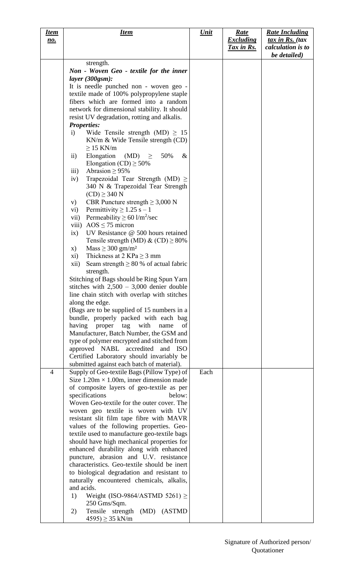| <u>Item</u>    | <u>Item</u>                                                                               | <u>Unit</u> | <u>Rate</u>      | <b>Rate Including</b>             |
|----------------|-------------------------------------------------------------------------------------------|-------------|------------------|-----------------------------------|
| <u>no.</u>     |                                                                                           |             | <b>Excluding</b> | tax in Rs. (tax                   |
|                |                                                                                           |             | Tax in Rs.       | calculation is to<br>be detailed) |
|                | strength.                                                                                 |             |                  |                                   |
|                | Non - Woven Geo - textile for the inner                                                   |             |                  |                                   |
|                | layer(300gsm):                                                                            |             |                  |                                   |
|                | It is needle punched non - woven geo -                                                    |             |                  |                                   |
|                | textile made of 100% polypropylene staple                                                 |             |                  |                                   |
|                | fibers which are formed into a random                                                     |             |                  |                                   |
|                | network for dimensional stability. It should                                              |             |                  |                                   |
|                | resist UV degradation, rotting and alkalis.                                               |             |                  |                                   |
|                | <b>Properties:</b>                                                                        |             |                  |                                   |
|                | Wide Tensile strength (MD) $\geq 15$<br>$\mathbf{i}$<br>KN/m & Wide Tensile strength (CD) |             |                  |                                   |
|                | $>15$ KN/m                                                                                |             |                  |                                   |
|                | Elongation<br>$(MD) \geq$<br>50%<br>$\&$<br>$\rm ii)$                                     |             |                  |                                   |
|                | Elongation (CD) $\geq$ 50%                                                                |             |                  |                                   |
|                | iii)<br>Abrasion $\geq$ 95%                                                               |             |                  |                                   |
|                | Trapezoidal Tear Strength (MD) $\geq$<br>iv)                                              |             |                  |                                   |
|                | 340 N & Trapezoidal Tear Strength                                                         |             |                  |                                   |
|                | $(CD) \geq 340 N$                                                                         |             |                  |                                   |
|                | CBR Puncture strength $\geq$ 3,000 N<br>V)                                                |             |                  |                                   |
|                | Permittivity $\geq$ 1.25 s – 1<br>$\mathbf{v}$ i)                                         |             |                  |                                   |
|                | Permeability $\geq 60$ l/m <sup>2</sup> /sec<br>vii)                                      |             |                  |                                   |
|                | viii) $AOS \le 75$ micron<br>UV Resistance @ 500 hours retained                           |             |                  |                                   |
|                | ix)<br>Tensile strength (MD) & $(CD) \ge 80\%$                                            |             |                  |                                   |
|                | $Mass \geq 300$ gm/m <sup>2</sup><br>X)                                                   |             |                  |                                   |
|                | Thickness at 2 KPa $\geq$ 3 mm<br>xi)                                                     |             |                  |                                   |
|                | Seam strength $\geq 80$ % of actual fabric<br>xii)                                        |             |                  |                                   |
|                | strength.                                                                                 |             |                  |                                   |
|                | Stitching of Bags should be Ring Spun Yarn                                                |             |                  |                                   |
|                | stitches with $2,500 - 3,000$ denier double                                               |             |                  |                                   |
|                | line chain stitch with overlap with stitches                                              |             |                  |                                   |
|                | along the edge.                                                                           |             |                  |                                   |
|                | (Bags are to be supplied of 15 numbers in a                                               |             |                  |                                   |
|                | bundle, properly packed with each bag                                                     |             |                  |                                   |
|                | with<br>having<br>proper<br>tag<br>name<br>of<br>Manufacturer, Batch Number, the GSM and  |             |                  |                                   |
|                | type of polymer encrypted and stitched from                                               |             |                  |                                   |
|                | approved NABL accredited<br>and ISO                                                       |             |                  |                                   |
|                | Certified Laboratory should invariably be                                                 |             |                  |                                   |
|                | submitted against each batch of material).                                                |             |                  |                                   |
| $\overline{4}$ | Supply of Geo-textile Bags (Pillow Type) of                                               | Each        |                  |                                   |
|                | Size $1.20m \times 1.00m$ , inner dimension made                                          |             |                  |                                   |
|                | of composite layers of geo-textile as per                                                 |             |                  |                                   |
|                | specifications<br>below:                                                                  |             |                  |                                   |
|                | Woven Geo-textile for the outer cover. The                                                |             |                  |                                   |
|                | woven geo textile is woven with UV<br>resistant slit film tape fibre with MAVR            |             |                  |                                   |
|                | values of the following properties. Geo-                                                  |             |                  |                                   |
|                | textile used to manufacture geo-textile bags                                              |             |                  |                                   |
|                | should have high mechanical properties for                                                |             |                  |                                   |
|                | enhanced durability along with enhanced                                                   |             |                  |                                   |
|                | puncture, abrasion and U.V. resistance                                                    |             |                  |                                   |
|                | characteristics. Geo-textile should be inert                                              |             |                  |                                   |
|                | to biological degradation and resistant to                                                |             |                  |                                   |
|                | naturally encountered chemicals, alkalis,                                                 |             |                  |                                   |
|                | and acids.                                                                                |             |                  |                                   |
|                | Weight (ISO-9864/ASTMD 5261) $\ge$<br>1)                                                  |             |                  |                                   |
|                | 250 Gms/Sqm.<br>Tensile strength<br>(MD) (ASTMD<br>2)                                     |             |                  |                                   |
|                | $4595$ ) $\geq$ 35 kN/m                                                                   |             |                  |                                   |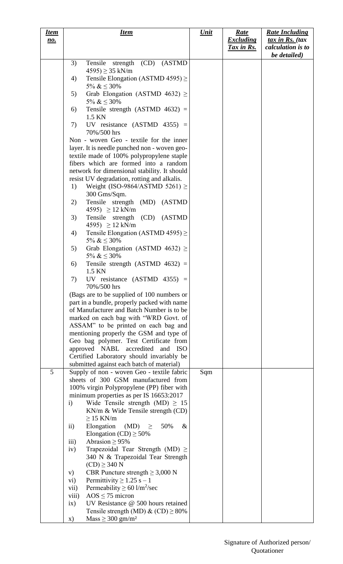| <b>Item</b> | <b>Item</b>                                                  | <u>Unit</u> | <u>Rate</u>       | <b>Rate Including</b>     |
|-------------|--------------------------------------------------------------|-------------|-------------------|---------------------------|
| <u>no.</u>  |                                                              |             | <b>Excluding</b>  | $\frac{tax}{in}$ Rs. (tax |
|             |                                                              |             | <u>Tax in Rs.</u> | calculation is to         |
|             |                                                              |             |                   | be detailed)              |
|             | Tensile strength (CD) (ASTMD<br>3)                           |             |                   |                           |
|             | $4595$ ) $\geq$ 35 kN/m                                      |             |                   |                           |
|             | Tensile Elongation (ASTMD 4595) $\geq$<br>4)                 |             |                   |                           |
|             | 5% & $\leq$ 30%                                              |             |                   |                           |
|             | Grab Elongation (ASTMD 4632) $\geq$<br>5)                    |             |                   |                           |
|             | 5% & $\leq$ 30%                                              |             |                   |                           |
|             | Tensile strength $(ASTMD 4632)$ =<br>6)                      |             |                   |                           |
|             | 1.5 KN                                                       |             |                   |                           |
|             | UV resistance $(ASTMD 4355)$ =<br>7)                         |             |                   |                           |
|             | 70%/500 hrs                                                  |             |                   |                           |
|             | Non - woven Geo - textile for the inner                      |             |                   |                           |
|             | layer. It is needle punched non - woven geo-                 |             |                   |                           |
|             | textile made of 100% polypropylene staple                    |             |                   |                           |
|             | fibers which are formed into a random                        |             |                   |                           |
|             | network for dimensional stability. It should                 |             |                   |                           |
|             | resist UV degradation, rotting and alkalis.                  |             |                   |                           |
|             | Weight (ISO-9864/ASTMD 5261) $\geq$<br>1)                    |             |                   |                           |
|             | 300 Gms/Sqm.                                                 |             |                   |                           |
|             | Tensile strength (MD) (ASTMD<br>2)                           |             |                   |                           |
|             | 4595) $\geq$ 12 kN/m                                         |             |                   |                           |
|             | Tensile strength (CD) (ASTMD<br>3)                           |             |                   |                           |
|             | 4595) $\geq$ 12 kN/m                                         |             |                   |                           |
|             | Tensile Elongation (ASTMD 4595) $\geq$<br>4)                 |             |                   |                           |
|             | 5% & $\leq$ 30%                                              |             |                   |                           |
|             | Grab Elongation (ASTMD 4632) $\geq$<br>5)                    |             |                   |                           |
|             | 5% & $\leq$ 30%                                              |             |                   |                           |
|             | Tensile strength (ASTMD $4632$ ) =<br>6)                     |             |                   |                           |
|             | 1.5 KN                                                       |             |                   |                           |
|             | UV resistance $(ASTMD 4355) =$<br>7)                         |             |                   |                           |
|             | 70%/500 hrs                                                  |             |                   |                           |
|             | (Bags are to be supplied of 100 numbers or                   |             |                   |                           |
|             | part in a bundle, properly packed with name                  |             |                   |                           |
|             | of Manufacturer and Batch Number is to be                    |             |                   |                           |
|             | marked on each bag with "WRD Govt. of                        |             |                   |                           |
|             | ASSAM" to be printed on each bag and                         |             |                   |                           |
|             | mentioning properly the GSM and type of                      |             |                   |                           |
|             | Geo bag polymer. Test Certificate from                       |             |                   |                           |
|             | approved NABL accredited and ISO                             |             |                   |                           |
|             | Certified Laboratory should invariably be                    |             |                   |                           |
|             | submitted against each batch of material)                    |             |                   |                           |
| 5           | Supply of non - woven Geo - textile fabric                   | Sqm         |                   |                           |
|             | sheets of 300 GSM manufactured from                          |             |                   |                           |
|             | 100% virgin Polypropylene (PP) fiber with                    |             |                   |                           |
|             | minimum properties as per IS 16653:2017                      |             |                   |                           |
|             | Wide Tensile strength (MD) $\geq 15$<br>$\mathbf{i}$         |             |                   |                           |
|             | $KN/m \&$ Wide Tensile strength (CD)                         |             |                   |                           |
|             | $\geq$ 15 KN/m                                               |             |                   |                           |
|             | Elongation (MD) $\geq$<br>$\&$<br>$\ddot{\mathbf{i}}$<br>50% |             |                   |                           |
|             | Elongation (CD) $\geq$ 50%                                   |             |                   |                           |
|             | Abrasion $\geq$ 95%<br>$\overline{\text{iii}}$               |             |                   |                           |
|             | Trapezoidal Tear Strength (MD) $\geq$<br>iv)                 |             |                   |                           |
|             | 340 N & Trapezoidal Tear Strength                            |             |                   |                           |
|             | $(CD) \geq 340 N$                                            |             |                   |                           |
|             | CBR Puncture strength $\geq$ 3,000 N<br>V)                   |             |                   |                           |
|             | Permittivity $\geq 1.25$ s - 1<br>vi)                        |             |                   |                           |
|             | Permeability $\geq 60$ l/m <sup>2</sup> /sec<br>vii)         |             |                   |                           |
|             | $AOS \le 75$ micron<br>viii)                                 |             |                   |                           |
|             | UV Resistance $@$ 500 hours retained<br>ix)                  |             |                   |                           |
|             | Tensile strength (MD) & $(CD) \ge 80\%$                      |             |                   |                           |
|             | $Mass \geq 300$ gm/m <sup>2</sup><br>X)                      |             |                   |                           |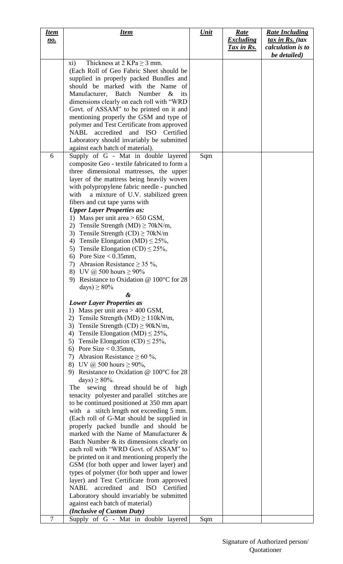| <u>Item</u> | <u>Item</u>                                                                                | <u>Unit</u> | <u>Rate</u>                    | <b>Rate Including</b>                          |
|-------------|--------------------------------------------------------------------------------------------|-------------|--------------------------------|------------------------------------------------|
| <u>no.</u>  |                                                                                            |             | <b>Excluding</b><br>Tax in Rs. | $\frac{tax}{in}$ Rs. (tax<br>calculation is to |
|             |                                                                                            |             |                                | be detailed)                                   |
|             | Thickness at 2 KPa $\geq$ 3 mm.<br>xi)                                                     |             |                                |                                                |
|             | (Each Roll of Geo Fabric Sheet should be                                                   |             |                                |                                                |
|             | supplied in properly packed Bundles and<br>should be marked with the Name of               |             |                                |                                                |
|             | Manufacturer, Batch<br>Number<br>$\&$<br>its                                               |             |                                |                                                |
|             | dimensions clearly on each roll with "WRD                                                  |             |                                |                                                |
|             | Govt. of ASSAM" to be printed on it and                                                    |             |                                |                                                |
|             | mentioning properly the GSM and type of                                                    |             |                                |                                                |
|             | polymer and Test Certificate from approved                                                 |             |                                |                                                |
|             | accredited and ISO Certified<br>NABL                                                       |             |                                |                                                |
|             | Laboratory should invariably be submitted<br>against each batch of material).              |             |                                |                                                |
| 6           | Supply of G - Mat in double layered                                                        | Sqm         |                                |                                                |
|             | composite Geo - textile fabricated to form a                                               |             |                                |                                                |
|             | three dimensional mattresses, the upper                                                    |             |                                |                                                |
|             | layer of the mattress being heavily woven                                                  |             |                                |                                                |
|             | with polypropylene fabric needle - punched                                                 |             |                                |                                                |
|             | with<br>a mixture of U.V. stabilized green<br>fibers and cut tape yarns with               |             |                                |                                                |
|             | <b>Upper Layer Properties as:</b>                                                          |             |                                |                                                |
|             | 1) Mass per unit area $> 650$ GSM,                                                         |             |                                |                                                |
|             | 2) Tensile Strength (MD) $\geq$ 70kN/m,                                                    |             |                                |                                                |
|             | Tensile Strength $(CD) \ge 70$ kN/m<br>3)                                                  |             |                                |                                                |
|             | Tensile Elongation (MD) $\leq$ 25%,<br>4)<br>5) Tensile Elongation (CD) $\leq$ 25%,        |             |                                |                                                |
|             | 6) Pore Size $< 0.35$ mm,                                                                  |             |                                |                                                |
|             | Abrasion Resistance $\geq$ 35 %,<br>7)                                                     |             |                                |                                                |
|             | 8) UV @ 500 hours $\geq 90\%$                                                              |             |                                |                                                |
|             | 9) Resistance to Oxidation @ 100°C for 28                                                  |             |                                |                                                |
|             | days) $\geq 80\%$                                                                          |             |                                |                                                |
|             | &<br><b>Lower Layer Properties as</b>                                                      |             |                                |                                                |
|             | 1) Mass per unit area $> 400$ GSM,                                                         |             |                                |                                                |
|             | Tensile Strength (MD) $\geq$ 110kN/m,<br>2)                                                |             |                                |                                                |
|             | 3) Tensile Strength $(CD) \ge 90kN/m$ ,                                                    |             |                                |                                                |
|             | 4) Tensile Elongation (MD) $\leq$ 25%,                                                     |             |                                |                                                |
|             | 5) Tensile Elongation (CD) $\leq$ 25%,<br>6) Pore Size $< 0.35$ mm,                        |             |                                |                                                |
|             | 7) Abrasion Resistance $\geq 60\%$ ,                                                       |             |                                |                                                |
|             | 8) UV @ 500 hours $\geq 90\%$ ,                                                            |             |                                |                                                |
|             | 9) Resistance to Oxidation @ 100°C for 28                                                  |             |                                |                                                |
|             | days) $\geq$ 80%.                                                                          |             |                                |                                                |
|             | sewing thread should be of high<br>The                                                     |             |                                |                                                |
|             | tenacity polyester and parallel stitches are<br>to be continued positioned at 350 mm apart |             |                                |                                                |
|             | with a stitch length not exceeding 5 mm.                                                   |             |                                |                                                |
|             | (Each roll of G-Mat should be supplied in                                                  |             |                                |                                                |
|             | properly packed bundle and should be                                                       |             |                                |                                                |
|             | marked with the Name of Manufacturer &                                                     |             |                                |                                                |
|             | Batch Number & its dimensions clearly on                                                   |             |                                |                                                |
|             | each roll with "WRD Govt. of ASSAM" to<br>be printed on it and mentioning properly the     |             |                                |                                                |
|             | GSM (for both upper and lower layer) and                                                   |             |                                |                                                |
|             | types of polymer (for both upper and lower                                                 |             |                                |                                                |
|             | layer) and Test Certificate from approved                                                  |             |                                |                                                |
|             | accredited<br>and ISO<br>Certified<br><b>NABL</b>                                          |             |                                |                                                |
|             | Laboratory should invariably be submitted                                                  |             |                                |                                                |
|             | against each batch of material)<br>(Inclusive of Custom Duty)                              |             |                                |                                                |
| $\tau$      | Supply of G - Mat in double layered                                                        | Sqm         |                                |                                                |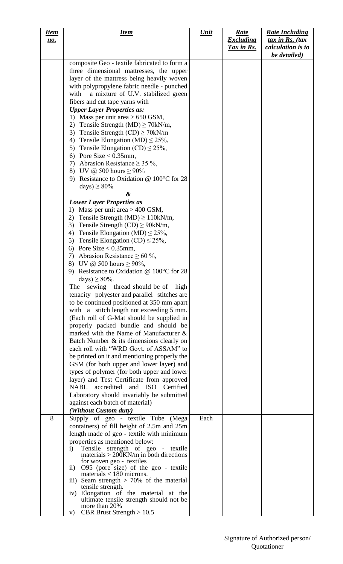| <u>Item</u> | <u>Item</u>                                                                                    | <u>Unit</u> | <u>Rate</u>       | <b>Rate Including</b>     |
|-------------|------------------------------------------------------------------------------------------------|-------------|-------------------|---------------------------|
| <u>no.</u>  |                                                                                                |             | <b>Excluding</b>  | $\frac{tax}{in}$ Rs. (tax |
|             |                                                                                                |             | <u>Tax in Rs.</u> | calculation is to         |
|             |                                                                                                |             |                   | be detailed)              |
|             | composite Geo - textile fabricated to form a                                                   |             |                   |                           |
|             | three dimensional mattresses, the upper                                                        |             |                   |                           |
|             | layer of the mattress being heavily woven                                                      |             |                   |                           |
|             | with polypropylene fabric needle - punched                                                     |             |                   |                           |
|             | with<br>a mixture of U.V. stabilized green                                                     |             |                   |                           |
|             | fibers and cut tape yarns with                                                                 |             |                   |                           |
|             | <b>Upper Layer Properties as:</b>                                                              |             |                   |                           |
|             | 1) Mass per unit area $> 650$ GSM,                                                             |             |                   |                           |
|             | Tensile Strength (MD) $\geq$ 70kN/m,<br>2)                                                     |             |                   |                           |
|             | Tensile Strength $(CD) \ge 70$ kN/m<br>3)                                                      |             |                   |                           |
|             | 4) Tensile Elongation (MD) $\leq$ 25%,                                                         |             |                   |                           |
|             | 5) Tensile Elongation (CD) $\leq$ 25%,                                                         |             |                   |                           |
|             | 6) Pore Size $< 0.35$ mm,                                                                      |             |                   |                           |
|             | Abrasion Resistance $\geq$ 35 %,<br>7)                                                         |             |                   |                           |
|             | 8) UV @ 500 hours $\geq 90\%$                                                                  |             |                   |                           |
|             | Resistance to Oxidation @ $100^{\circ}$ C for 28<br>9)                                         |             |                   |                           |
|             | days) $\geq 80\%$                                                                              |             |                   |                           |
|             | &                                                                                              |             |                   |                           |
|             | <b>Lower Layer Properties as</b>                                                               |             |                   |                           |
|             | Mass per unit area $> 400$ GSM,<br>1)<br>Tensile Strength (MD) $\geq$ 110kN/m,<br>2)           |             |                   |                           |
|             | Tensile Strength $(CD) \ge 90kN/m$ ,<br>3)                                                     |             |                   |                           |
|             | Tensile Elongation (MD) $\leq$ 25%,<br>4)                                                      |             |                   |                           |
|             | Tensile Elongation (CD) $\leq$ 25%,<br>5)                                                      |             |                   |                           |
|             | 6) Pore Size $< 0.35$ mm,                                                                      |             |                   |                           |
|             | Abrasion Resistance $\geq 60\%$ ,<br>7)                                                        |             |                   |                           |
|             | 8) UV @ 500 hours $\geq 90\%$ ,                                                                |             |                   |                           |
|             | Resistance to Oxidation @ $100^{\circ}$ C for 28<br>9)                                         |             |                   |                           |
|             | days) $\geq$ 80%.                                                                              |             |                   |                           |
|             | sewing thread should be of high<br>The                                                         |             |                   |                           |
|             | tenacity polyester and parallel stitches are                                                   |             |                   |                           |
|             | to be continued positioned at 350 mm apart                                                     |             |                   |                           |
|             | with a stitch length not exceeding 5 mm.                                                       |             |                   |                           |
|             | (Each roll of G-Mat should be supplied in                                                      |             |                   |                           |
|             | properly packed bundle and should be                                                           |             |                   |                           |
|             | marked with the Name of Manufacturer &                                                         |             |                   |                           |
|             | Batch Number & its dimensions clearly on                                                       |             |                   |                           |
|             | each roll with "WRD Govt. of ASSAM" to                                                         |             |                   |                           |
|             | be printed on it and mentioning properly the                                                   |             |                   |                           |
|             | GSM (for both upper and lower layer) and                                                       |             |                   |                           |
|             | types of polymer (for both upper and lower                                                     |             |                   |                           |
|             | layer) and Test Certificate from approved                                                      |             |                   |                           |
|             | accredited and ISO<br>Certified<br>NABL                                                        |             |                   |                           |
|             | Laboratory should invariably be submitted                                                      |             |                   |                           |
|             | against each batch of material)                                                                |             |                   |                           |
|             | (Without Custom duty)                                                                          |             |                   |                           |
| 8           | Supply of geo - textile Tube (Mega                                                             | Each        |                   |                           |
|             | containers) of fill height of 2.5m and 25m                                                     |             |                   |                           |
|             | length made of geo - textile with minimum                                                      |             |                   |                           |
|             | properties as mentioned below:                                                                 |             |                   |                           |
|             | Tensile strength of geo - textile<br>$\mathbf{i}$<br>materials $> 200$ KN/m in both directions |             |                   |                           |
|             | for woven geo - textiles                                                                       |             |                   |                           |
|             | O95 (pore size) of the geo - textile<br>$\rm ii)$                                              |             |                   |                           |
|             | materials $<$ 180 microns.                                                                     |             |                   |                           |
|             | iii) Seam strength $> 70\%$ of the material                                                    |             |                   |                           |
|             | tensile strength.<br>iv) Elongation of the material at the                                     |             |                   |                           |
|             | ultimate tensile strength should not be                                                        |             |                   |                           |
|             | more than 20%                                                                                  |             |                   |                           |
|             | <b>CBR</b> Brust Strength $> 10.5$<br>V)                                                       |             |                   |                           |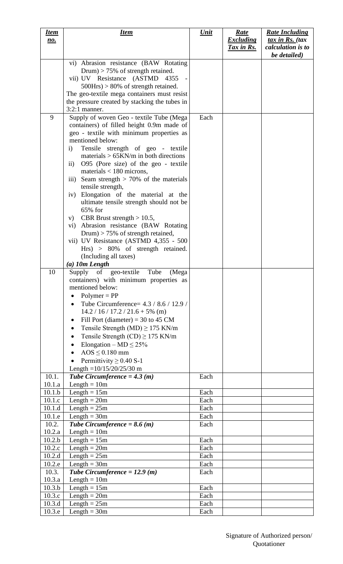| <u>Item</u>      | <u>Item</u>                                                                                 | <b>Unit</b>  | <u>Rate</u>      | <b>Rate Including</b>             |
|------------------|---------------------------------------------------------------------------------------------|--------------|------------------|-----------------------------------|
| <u>no.</u>       |                                                                                             |              | <b>Excluding</b> | tax in Rs. (tax                   |
|                  |                                                                                             |              | Tax in Rs.       | calculation is to<br>be detailed) |
|                  | vi) Abrasion resistance (BAW Rotating                                                       |              |                  |                                   |
|                  | Drum) > $75\%$ of strength retained.                                                        |              |                  |                                   |
|                  | vii) UV Resistance (ASTMD 4355                                                              |              |                  |                                   |
|                  | $500Hrs$ > 80% of strength retained.                                                        |              |                  |                                   |
|                  | The geo-textile mega containers must resist                                                 |              |                  |                                   |
|                  | the pressure created by stacking the tubes in                                               |              |                  |                                   |
| 9                | $3:2:1$ manner.                                                                             | Each         |                  |                                   |
|                  | Supply of woven Geo - textile Tube (Mega<br>containers) of filled height 0.9m made of       |              |                  |                                   |
|                  | geo - textile with minimum properties as                                                    |              |                  |                                   |
|                  | mentioned below:                                                                            |              |                  |                                   |
|                  | Tensile strength of geo - textile<br>i)                                                     |              |                  |                                   |
|                  | materials $> 65$ KN/m in both directions                                                    |              |                  |                                   |
|                  | O95 (Pore size) of the geo - textile<br>$\mathbf{ii}$                                       |              |                  |                                   |
|                  | materials $<$ 180 microns,<br>Seam strength $> 70\%$ of the materials<br>$\overline{111}$ ) |              |                  |                                   |
|                  | tensile strength,                                                                           |              |                  |                                   |
|                  | iv) Elongation of the material at the                                                       |              |                  |                                   |
|                  | ultimate tensile strength should not be                                                     |              |                  |                                   |
|                  | 65% for                                                                                     |              |                  |                                   |
|                  | v) CBR Brust strength $> 10.5$ ,                                                            |              |                  |                                   |
|                  | vi) Abrasion resistance (BAW Rotating                                                       |              |                  |                                   |
|                  | Drum) > 75% of strength retained,<br>vii) UV Resistance (ASTMD 4,355 - 500                  |              |                  |                                   |
|                  | Hrs) > 80% of strength retained.                                                            |              |                  |                                   |
|                  | (Including all taxes)                                                                       |              |                  |                                   |
|                  | $(a)$ 10m Length                                                                            |              |                  |                                   |
| 10               | Tube<br>Supply of geo-textile<br>(Mega                                                      |              |                  |                                   |
|                  | containers) with minimum properties as                                                      |              |                  |                                   |
|                  | mentioned below:                                                                            |              |                  |                                   |
|                  | $Polymer = PP$<br>Tube Circumference= 4.3 / 8.6 / 12.9 /                                    |              |                  |                                   |
|                  | $14.2 / 16 / 17.2 / 21.6 + 5\%$ (m)                                                         |              |                  |                                   |
|                  | Fill Port (diameter) = 30 to 45 CM                                                          |              |                  |                                   |
|                  | Tensile Strength (MD) $\geq$ 175 KN/m<br>$\bullet$                                          |              |                  |                                   |
|                  | Tensile Strength (CD) $\geq$ 175 KN/m                                                       |              |                  |                                   |
|                  | Elongation – MD $\leq$ 25%<br>٠                                                             |              |                  |                                   |
|                  | $AOS \leq 0.180$ mm                                                                         |              |                  |                                   |
|                  | Permittivity $\geq$ 0.40 S-1                                                                |              |                  |                                   |
|                  | Length = $10/15/20/25/30$ m                                                                 |              |                  |                                   |
| 10.1.            | Tube Circumference = $4.3(m)$<br>Length $= 10m$                                             | Each         |                  |                                   |
| 10.1.a<br>10.1.b | Length $= 15m$                                                                              | Each         |                  |                                   |
| 10.1.c           | Length $= 20m$                                                                              | Each         |                  |                                   |
| 10.1.d           | Length $= 25m$                                                                              | Each         |                  |                                   |
| 10.1.e           | Length $=$ 30 $m$                                                                           | Each         |                  |                                   |
| 10.2.            | Tube Circumference = $8.6$ (m)                                                              | Each         |                  |                                   |
| 10.2.a           | Length $= 10m$                                                                              |              |                  |                                   |
| 10.2.b           | Length $= 15m$                                                                              | Each         |                  |                                   |
| 10.2.c<br>10.2.d | Length $= 20m$                                                                              | Each         |                  |                                   |
| 10.2.e           | Length $= 25m$<br>Length $=$ 30m                                                            | Each<br>Each |                  |                                   |
| 10.3.            | Tube Circumference = $12.9$ (m)                                                             | Each         |                  |                                   |
| 10.3.a           | Length $= 10m$                                                                              |              |                  |                                   |
| 10.3.b           | Length $= 15m$                                                                              | Each         |                  |                                   |
| 10.3.c           | Length $= 20m$                                                                              | Each         |                  |                                   |
| 10.3.d           | Length $= 25m$                                                                              | Each         |                  |                                   |
| 10.3.e           | Length $=$ 30m                                                                              | Each         |                  |                                   |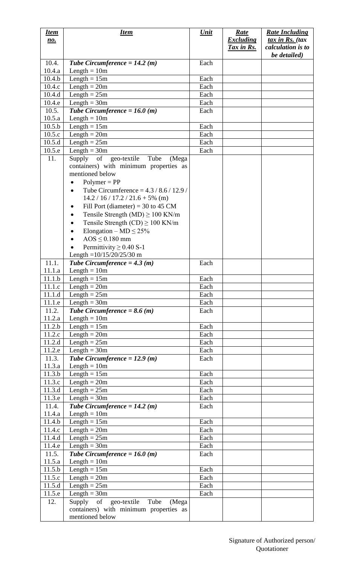| <u>Item</u><br><u>no.</u> | <u>Item</u>                                                 | <u>Unit</u>  | <u>Rate</u><br><b>Excluding</b> | <b>Rate Including</b><br>tax in Rs. (tax |
|---------------------------|-------------------------------------------------------------|--------------|---------------------------------|------------------------------------------|
|                           |                                                             |              | Tax in Rs.                      | calculation is to<br>be detailed)        |
| 10.4.<br>10.4.a           | Tube Circumference = $14.2$ (m)<br>Length $= 10m$           | Each         |                                 |                                          |
| 10.4.b                    | Length $= 15m$                                              | Each         |                                 |                                          |
| 10.4.c                    | Length $= 20m$                                              | Each         |                                 |                                          |
| 10.4.d                    | Length $= 25m$                                              | Each         |                                 |                                          |
| 10.4.e                    | $Length = 30m$                                              | Each         |                                 |                                          |
| 10.5.                     | Tube Circumference = $16.0$ (m)                             | Each         |                                 |                                          |
| 10.5.a                    | Length $= 10m$                                              |              |                                 |                                          |
| 10.5.b                    | Length $= 15m$                                              | Each         |                                 |                                          |
| 10.5.c                    | Length $= 20m$                                              | Each         |                                 |                                          |
| 10.5.d                    | Length $= 25m$                                              | Each         |                                 |                                          |
| 10.5.e                    | Length $=$ 30m                                              | Each         |                                 |                                          |
| 11.                       | Supply of geo-textile<br>Tube<br>(Mega                      |              |                                 |                                          |
|                           | containers) with minimum properties as                      |              |                                 |                                          |
|                           | mentioned below                                             |              |                                 |                                          |
|                           | $Polymer = PP$                                              |              |                                 |                                          |
|                           | Tube Circumference = $4.3 / 8.6 / 12.9 /$                   |              |                                 |                                          |
|                           | $14.2 / 16 / 17.2 / 21.6 + 5\%$ (m)                         |              |                                 |                                          |
|                           | Fill Port (diameter) = 30 to 45 CM                          |              |                                 |                                          |
|                           | Tensile Strength (MD) $\geq 100$ KN/m                       |              |                                 |                                          |
|                           | Tensile Strength (CD) $\geq 100$ KN/m                       |              |                                 |                                          |
|                           | Elongation – MD $\leq$ 25%                                  |              |                                 |                                          |
|                           | $AOS \leq 0.180$ mm                                         |              |                                 |                                          |
|                           | Permittivity $\geq$ 0.40 S-1<br>Length = $10/15/20/25/30$ m |              |                                 |                                          |
| 11.1.                     | Tube Circumference = $4.3(m)$                               | Each         |                                 |                                          |
| 11.1.a                    | Length $= 10m$                                              |              |                                 |                                          |
| 11.1.b                    | Length $= 15m$                                              | Each         |                                 |                                          |
| 11.1.c                    | Length $= 20m$                                              | Each         |                                 |                                          |
| 11.1.d                    | Length $= 25m$                                              | Each         |                                 |                                          |
| 11.1.e                    | Length $=$ 30m                                              | Each         |                                 |                                          |
| 11.2.                     | Tube Circumference = $8.6$ (m)                              | Each         |                                 |                                          |
| 11.2.a                    | Length $= 10m$                                              |              |                                 |                                          |
| 11.2.b                    | Length $= 15m$                                              | Each         |                                 |                                          |
| 11.2.c                    | Length $= 20m$                                              | Each         |                                 |                                          |
| 11.2.d                    | Length $= 25m$                                              | Each         |                                 |                                          |
| 11.2.e                    | Length $=$ 30m                                              | Each         |                                 |                                          |
| 11.3.                     | Tube Circumference = $12.9$ (m)                             | Each         |                                 |                                          |
| 11.3.a                    | Length $= 10m$                                              |              |                                 |                                          |
| 11.3.b                    | Length $= 15m$                                              | Each         |                                 |                                          |
| 11.3.c                    | Length $= 20m$                                              | Each         |                                 |                                          |
| 11.3.d<br>11.3.e          | Length $= 25m$                                              | Each<br>Each |                                 |                                          |
| 11.4.                     | $Length = 30m$<br>Tube Circumference = $14.2$ (m)           | Each         |                                 |                                          |
| 11.4.a                    | Length $= 10m$                                              |              |                                 |                                          |
| 11.4.b                    | Length $= 15m$                                              | Each         |                                 |                                          |
| 11.4.c                    | Length $= 20m$                                              | Each         |                                 |                                          |
| 11.4.d                    | Length $= 25m$                                              | Each         |                                 |                                          |
| 11.4.e                    | Length $=$ 30m                                              | Each         |                                 |                                          |
| 11.5.                     | Tube Circumference = $16.0$ (m)                             | Each         |                                 |                                          |
| 11.5.a                    | Length $= 10m$                                              |              |                                 |                                          |
| 11.5.b                    | Length $= 15m$                                              | Each         |                                 |                                          |
| 11.5.c                    | Length $= 20m$                                              | Each         |                                 |                                          |
| 11.5.d                    | Length $= 25m$                                              | Each         |                                 |                                          |
| 11.5.e                    | Length $=$ 30 $m$                                           | Each         |                                 |                                          |
| 12.                       | Supply of<br>geo-textile<br>Tube<br>(Mega                   |              |                                 |                                          |
|                           | containers) with minimum properties as                      |              |                                 |                                          |
|                           | mentioned below                                             |              |                                 |                                          |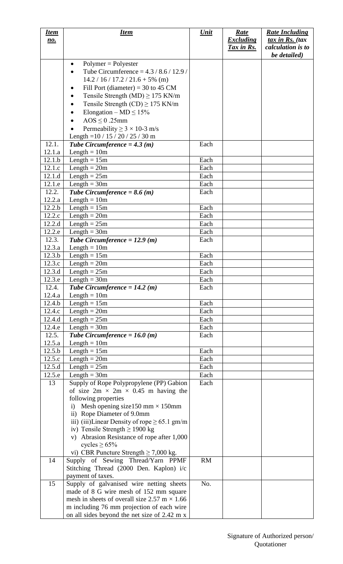| <u>Item</u> | <b>Item</b>                                         | <b>Unit</b>  | <b>Rate</b>      | <b>Rate Including</b>     |
|-------------|-----------------------------------------------------|--------------|------------------|---------------------------|
| <u>no.</u>  |                                                     |              | <b>Excluding</b> | $\frac{tax}{in}$ Rs. (tax |
|             |                                                     |              | Tax in Rs.       | calculation is to         |
|             |                                                     |              |                  | be detailed)              |
|             | $Polymer = Polyester$<br>$\bullet$                  |              |                  |                           |
|             | Tube Circumference = $4.3 / 8.6 / 12.9$             |              |                  |                           |
|             | $14.2 / 16 / 17.2 / 21.6 + 5\%$ (m)                 |              |                  |                           |
|             | Fill Port (diameter) = 30 to 45 CM                  |              |                  |                           |
|             | Tensile Strength (MD) $\geq$ 175 KN/m               |              |                  |                           |
|             | Tensile Strength (CD) $\geq$ 175 KN/m               |              |                  |                           |
|             | Elongation – MD $\leq 15\%$                         |              |                  |                           |
|             | $AOS \leq 0.25$ mm                                  |              |                  |                           |
|             | Permeability $\geq 3 \times 10-3$ m/s               |              |                  |                           |
|             | Length = $10 / 15 / 20 / 25 / 30$ m                 |              |                  |                           |
| 12.1.       | Tube Circumference = $4.3(m)$                       | Each         |                  |                           |
| 12.1.a      | Length $= 10m$                                      |              |                  |                           |
| 12.1.b      | Length $= 15m$                                      | Each         |                  |                           |
| 12.1.c      | Length $= 20m$                                      | Each         |                  |                           |
| 12.1.d      | Length $= 25m$                                      | Each         |                  |                           |
| 12.1.e      | Length = $30m$                                      | Each         |                  |                           |
| 12.2.       | Tube Circumference = $8.6$ (m)                      | Each         |                  |                           |
| 12.2.a      | Length $= 10m$                                      |              |                  |                           |
| 12.2.b      | Length $= 15m$                                      | Each         |                  |                           |
| 12.2.c      | Length $= 20m$                                      | Each         |                  |                           |
| 12.2.d      | Length $= 25m$                                      | Each         |                  |                           |
| 12.2.e      | Length $=$ 30m                                      | Each         |                  |                           |
| 12.3.       |                                                     | Each         |                  |                           |
| 12.3.a      | Tube Circumference = $12.9$ (m)<br>$Length = 10m$   |              |                  |                           |
| 12.3.b      | Length $= 15m$                                      | Each         |                  |                           |
| 12.3.c      | Length $= 20m$                                      | Each         |                  |                           |
| 12.3.d      |                                                     |              |                  |                           |
| 12.3.e      | Length $= 25m$<br>Length = $30m$                    | Each<br>Each |                  |                           |
|             |                                                     |              |                  |                           |
| 12.4.       | Tube Circumference = $14.2$ (m)                     | Each         |                  |                           |
| 12.4.a      | Length $= 10m$                                      |              |                  |                           |
| 12.4.b      | Length $= 15m$                                      | Each         |                  |                           |
| 12.4.c      | Length $= 20m$                                      | Each         |                  |                           |
| 12.4.d      | Length $= 25m$                                      | Each         |                  |                           |
| 12.4.e      | Length $=$ 30 $m$                                   | Each         |                  |                           |
| 12.5.       | Tube Circumference = $16.0$ (m)                     | Each         |                  |                           |
| 12.5.a      | Length $= 10m$                                      |              |                  |                           |
| 12.5.b      | Length $= 15m$                                      | Each         |                  |                           |
| 12.5.c      | $Length = 20m$                                      | Each         |                  |                           |
| 12.5.d      | Length $= 25m$                                      | Each         |                  |                           |
| 12.5.e      | $Length = 30m$                                      | Each         |                  |                           |
| 13          | Supply of Rope Polypropylene (PP) Gabion            | Each         |                  |                           |
|             | of size $2m \times 2m \times 0.45$ m having the     |              |                  |                           |
|             | following properties                                |              |                  |                           |
|             | Mesh opening size150 mm $\times$ 150mm<br>i)        |              |                  |                           |
|             | ii) Rope Diameter of 9.0mm                          |              |                  |                           |
|             | iii) (iii)Linear Density of rope $\geq 65.1$ gm/m   |              |                  |                           |
|             | iv) Tensile Strength $\geq$ 1900 kg                 |              |                  |                           |
|             | v) Abrasion Resistance of rope after 1,000          |              |                  |                           |
|             | cycles $\geq 65\%$                                  |              |                  |                           |
|             | vi) CBR Puncture Strength $\geq$ 7,000 kg.          |              |                  |                           |
| 14          | Supply of Sewing Thread/Yarn PPMF                   | <b>RM</b>    |                  |                           |
|             | Stitching Thread (2000 Den. Kaplon) i/c             |              |                  |                           |
|             | payment of taxes.                                   |              |                  |                           |
| 15          | Supply of galvanised wire netting sheets            | No.          |                  |                           |
|             | made of 8 G wire mesh of 152 mm square              |              |                  |                           |
|             | mesh in sheets of overall size 2.57 m $\times$ 1.66 |              |                  |                           |
|             | m including 76 mm projection of each wire           |              |                  |                           |
|             | on all sides beyond the net size of 2.42 m x        |              |                  |                           |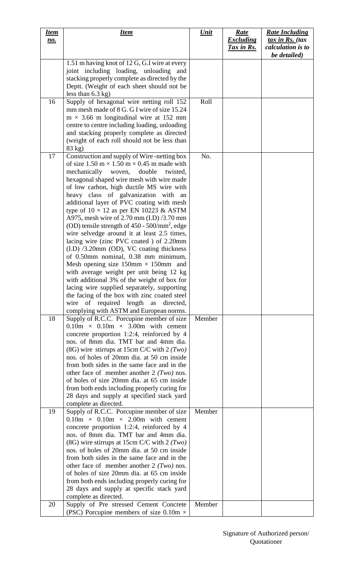| <u>Item</u><br><u>no.</u> | <b>Item</b>                                                                                                                                                                                                                                                                                                                                                                                                                                                                                                                                                                                                                                                                                                                                                                                                                                                                                                                                                                                                                                                                                                                                                                                                                                                                                                                                                                                                                                                                                                                                                                       | <b>Unit</b>   | <u>Rate</u><br><b>Excluding</b><br>Tax in Rs. | <b>Rate Including</b><br>tax in Rs. (tax<br>calculation is to<br>be detailed) |
|---------------------------|-----------------------------------------------------------------------------------------------------------------------------------------------------------------------------------------------------------------------------------------------------------------------------------------------------------------------------------------------------------------------------------------------------------------------------------------------------------------------------------------------------------------------------------------------------------------------------------------------------------------------------------------------------------------------------------------------------------------------------------------------------------------------------------------------------------------------------------------------------------------------------------------------------------------------------------------------------------------------------------------------------------------------------------------------------------------------------------------------------------------------------------------------------------------------------------------------------------------------------------------------------------------------------------------------------------------------------------------------------------------------------------------------------------------------------------------------------------------------------------------------------------------------------------------------------------------------------------|---------------|-----------------------------------------------|-------------------------------------------------------------------------------|
|                           | 1.51 m having knot of 12 G, G.I wire at every<br>joint including loading, unloading and<br>stacking properly complete as directed by the<br>Deptt. (Weight of each sheet should not be<br>less than $6.3$ kg)                                                                                                                                                                                                                                                                                                                                                                                                                                                                                                                                                                                                                                                                                                                                                                                                                                                                                                                                                                                                                                                                                                                                                                                                                                                                                                                                                                     |               |                                               |                                                                               |
| 16                        | Supply of hexagonal wire netting roll 152<br>mm mesh made of 8 G. G I wire of size 15.24<br>$m \times 3.66$ m longitudinal wire at 152 mm<br>centre to centre including loading, unloading<br>and stacking properly complete as directed<br>(weight of each roll should not be less than<br>83 kg)                                                                                                                                                                                                                                                                                                                                                                                                                                                                                                                                                                                                                                                                                                                                                                                                                                                                                                                                                                                                                                                                                                                                                                                                                                                                                | Roll          |                                               |                                                                               |
| 17<br>18                  | Construction and supply of Wire-netting box<br>of size 1.50 m $\times$ 1.50 m $\times$ 0.45 m made with<br>mechanically woven,<br>double<br>twisted,<br>hexagonal shaped wire mesh with wire made<br>of low carbon, high ductile MS wire with<br>heavy class of galvanization with<br>an<br>additional layer of PVC coating with mesh<br>type of $10 \times 12$ as per EN 10223 & ASTM<br>A975, mesh wire of 2.70 mm (I.D) /3.70 mm<br>(OD) tensile strength of $450 - 500/\text{mm}^2$ , edge<br>wire selvedge around it at least 2.5 times,<br>lacing wire (zinc PVC coated) of 2.20mm<br>$(LD)$ /3.20mm (OD), VC coating thickness<br>of 0.50mm nominal, 0.38 mm minimum,<br>Mesh opening size $150 \text{mm} \times 150 \text{mm}$ and<br>with average weight per unit being 12 kg<br>with additional 3% of the weight of box for<br>lacing wire supplied separately, supporting<br>the facing of the box with zinc coated steel<br>wire of required length as<br>directed,<br>complying with ASTM and European norms.<br>Supply of R.C.C. Porcupine member of size<br>$0.10m \times 0.10m \times 3.00m$ with cement<br>concrete proportion 1:2:4, reinforced by 4<br>nos. of 8mm dia. TMT bar and 4mm dia.<br>(8G) wire stirrups at 15cm C/C with $2 (Two)$<br>nos. of holes of 20mm dia. at 50 cm inside<br>from both sides in the same face and in the<br>other face of member another $2$ (Two) nos.<br>of holes of size 20mm dia. at 65 cm inside<br>from both ends including properly curing for<br>28 days and supply at specified stack yard<br>complete as directed. | No.<br>Member |                                               |                                                                               |
| 19                        | Supply of R.C.C. Porcupine member of size<br>$0.10m \times 0.10m \times 2.00m$ with cement<br>concrete proportion 1:2:4, reinforced by 4<br>nos. of 8mm dia. TMT bar and 4mm dia.<br>(8G) wire stirrups at 15cm C/C with $2 (Two)$<br>nos. of holes of 20mm dia. at 50 cm inside<br>from both sides in the same face and in the<br>other face of member another $2$ ( <i>Two</i> ) nos.<br>of holes of size 20mm dia. at 65 cm inside<br>from both ends including properly curing for<br>28 days and supply at specific stack yard<br>complete as directed.                                                                                                                                                                                                                                                                                                                                                                                                                                                                                                                                                                                                                                                                                                                                                                                                                                                                                                                                                                                                                       | Member        |                                               |                                                                               |
| 20                        | Supply of Pre stressed Cement Concrete<br>(PSC) Porcupine members of size 0.10m $\times$                                                                                                                                                                                                                                                                                                                                                                                                                                                                                                                                                                                                                                                                                                                                                                                                                                                                                                                                                                                                                                                                                                                                                                                                                                                                                                                                                                                                                                                                                          | Member        |                                               |                                                                               |